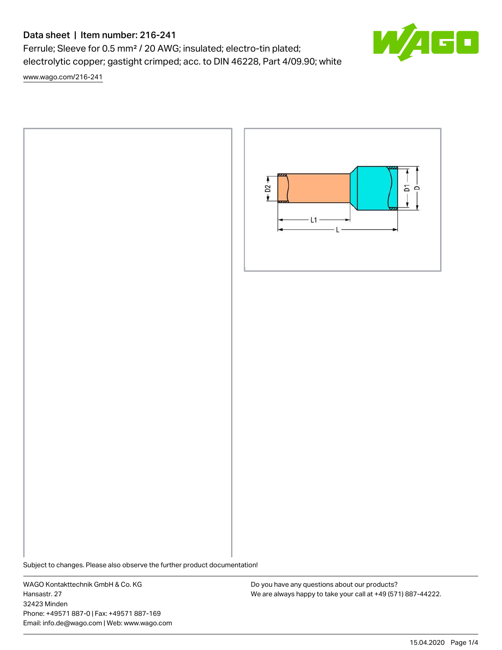# Data sheet | Item number: 216-241

Ferrule; Sleeve for 0.5 mm² / 20 AWG; insulated; electro-tin plated; electrolytic copper; gastight crimped; acc. to DIN 46228, Part 4/09.90; white

[www.wago.com/216-241](http://www.wago.com/216-241)



Subject to changes. Please also observe the further product documentation!

WAGO Kontakttechnik GmbH & Co. KG Hansastr. 27 32423 Minden Phone: +49571 887-0 | Fax: +49571 887-169 Email: info.de@wago.com | Web: www.wago.com

Do you have any questions about our products? We are always happy to take your call at +49 (571) 887-44222.

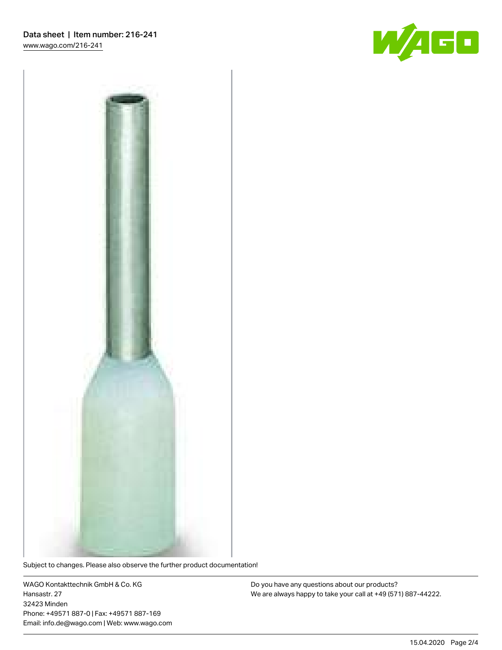



Subject to changes. Please also observe the further product documentation!

WAGO Kontakttechnik GmbH & Co. KG Hansastr. 27 32423 Minden Phone: +49571 887-0 | Fax: +49571 887-169 Email: info.de@wago.com | Web: www.wago.com

Do you have any questions about our products? We are always happy to take your call at +49 (571) 887-44222.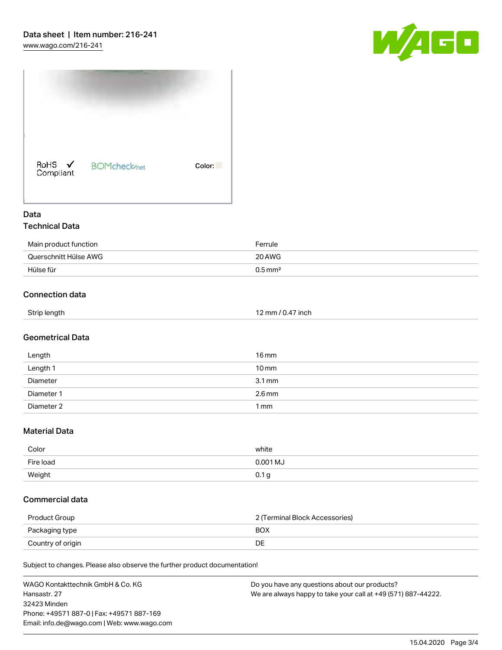



### Data Technical Data

# Main product function extending the main product function of the state of the Ferrule Querschnitt Hülse AWG 20AWG Hülse für 1996 bis 1996 bis 1997 bis 1998 bis 1998 bis 1998 bis 1998 bis 1998 bis 1998 bis 1998 bis 1998 bis 1

## Connection data

| Strip length | 12 mm / 0.47 inch |
|--------------|-------------------|
|              |                   |

#### Geometrical Data

| Length     | $16 \,\mathrm{mm}$  |
|------------|---------------------|
| Length 1   | $10 \,\mathrm{mm}$  |
| Diameter   | $3.1 \,\mathrm{mm}$ |
| Diameter 1 | $2.6$ mm            |
| Diameter 2 | $1 \,\mathrm{mm}$   |

#### Material Data

| Color     | white      |
|-----------|------------|
| Fire load | $0.001$ MJ |
| Weight    | <b>U.</b>  |

#### Commercial data

| Product Group     | 2 (Terminal Block Accessories) |  |
|-------------------|--------------------------------|--|
| Packaging type    | <b>BOX</b>                     |  |
| Country of origin | DE                             |  |

Subject to changes. Please also observe the further product documentation!

| WAGO Kontakttechnik GmbH & Co. KG           | Do you have any questions about our products?                 |
|---------------------------------------------|---------------------------------------------------------------|
| Hansastr. 27                                | We are always happy to take your call at +49 (571) 887-44222. |
| 32423 Minden                                |                                                               |
| Phone: +49571 887-0   Fax: +49571 887-169   |                                                               |
| Email: info.de@wago.com   Web: www.wago.com |                                                               |